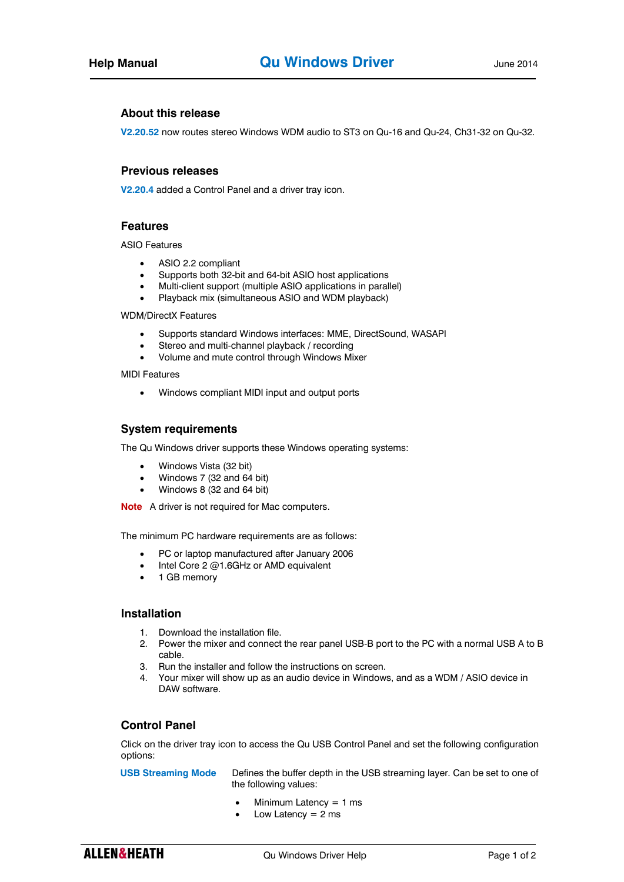## **About this release**

**V2.20.52** now routes stereo Windows WDM audio to ST3 on Qu-16 and Qu-24, Ch31-32 on Qu-32.

### **Previous releases**

**V2.20.4** added a Control Panel and a driver tray icon.

# **Features**

ASIO Features

- ASIO 2.2 compliant
- Supports both 32-bit and 64-bit ASIO host applications
- Multi-client support (multiple ASIO applications in parallel)
- Playback mix (simultaneous ASIO and WDM playback)

WDM/DirectX Features

- Supports standard Windows interfaces: MME, DirectSound, WASAPI
- Stereo and multi-channel playback / recording
- Volume and mute control through Windows Mixer

MIDI Features

Windows compliant MIDI input and output ports

### **System requirements**

The Qu Windows driver supports these Windows operating systems:

- Windows Vista (32 bit)
- Windows 7 (32 and 64 bit)
- Windows 8 (32 and 64 bit)

**Note** A driver is not required for Mac computers.

The minimum PC hardware requirements are as follows:

- PC or laptop manufactured after January 2006
- Intel Core 2 @1.6GHz or AMD equivalent
- 1 GB memory

#### **Installation**

- 1. Download the installation file.
- 2. Power the mixer and connect the rear panel USB-B port to the PC with a normal USB A to B cable.
- 3. Run the installer and follow the instructions on screen.
- 4. Your mixer will show up as an audio device in Windows, and as a WDM / ASIO device in DAW software.

### **Control Panel**

Click on the driver tray icon to access the Qu USB Control Panel and set the following configuration options:

**USB Streaming Mode** Defines the buffer depth in the USB streaming layer. Can be set to one of the following values:

- Minimum Latency = 1 ms
- Low Latency  $= 2$  ms